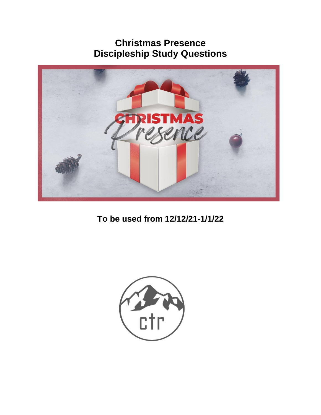# **Christmas Presence Discipleship Study Questions**



**To be used from 12/12/21-1/1/22**

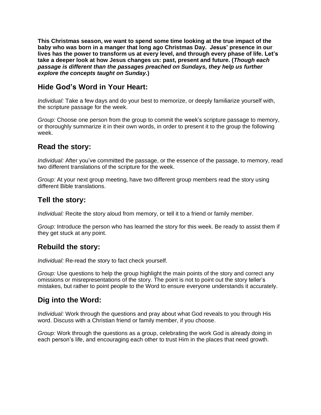**This Christmas season, we want to spend some time looking at the true impact of the baby who was born in a manger that long ago Christmas Day. Jesus' presence in our lives has the power to transform us at every level, and through every phase of life. Let's take a deeper look at how Jesus changes us: past, present and future. (***Though each passage is different than the passages preached on Sundays, they help us further explore the concepts taught on Sunday.***)**

## **Hide God's Word in Your Heart:**

*Individual:* Take a few days and do your best to memorize, or deeply familiarize yourself with, the scripture passage for the week.

*Group:* Choose one person from the group to commit the week's scripture passage to memory, or thoroughly summarize it in their own words, in order to present it to the group the following week.

## **Read the story:**

*Individual:* After you've committed the passage, or the essence of the passage, to memory, read two different translations of the scripture for the week.

*Group:* At your next group meeting, have two different group members read the story using different Bible translations.

## **Tell the story:**

*Individual:* Recite the story aloud from memory, or tell it to a friend or family member.

*Group:* Introduce the person who has learned the story for this week. Be ready to assist them if they get stuck at any point.

## **Rebuild the story:**

*Individual:* Re-read the story to fact check yourself.

*Group:* Use questions to help the group highlight the main points of the story and correct any omissions or misrepresentations of the story. The point is not to point out the story teller's mistakes, but rather to point people to the Word to ensure everyone understands it accurately.

## **Dig into the Word:**

*Individual:* Work through the questions and pray about what God reveals to you through His word. Discuss with a Christian friend or family member, if you choose.

*Group:* Work through the questions as a group, celebrating the work God is already doing in each person's life, and encouraging each other to trust Him in the places that need growth.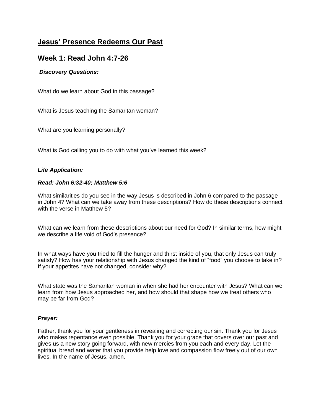## **Jesus' Presence Redeems Our Past**

### **Week 1: Read John 4:7-26**

### *Discovery Questions:*

What do we learn about God in this passage?

What is Jesus teaching the Samaritan woman?

What are you learning personally?

What is God calling you to do with what you've learned this week?

### *Life Application:*

#### *Read: John 6:32-40; Matthew 5:6*

What similarities do you see in the way Jesus is described in John 6 compared to the passage in John 4? What can we take away from these descriptions? How do these descriptions connect with the verse in Matthew 5?

What can we learn from these descriptions about our need for God? In similar terms, how might we describe a life void of God's presence?

In what ways have you tried to fill the hunger and thirst inside of you, that only Jesus can truly satisfy? How has your relationship with Jesus changed the kind of "food" you choose to take in? If your appetites have not changed, consider why?

What state was the Samaritan woman in when she had her encounter with Jesus? What can we learn from how Jesus approached her, and how should that shape how we treat others who may be far from God?

### *Prayer:*

Father, thank you for your gentleness in revealing and correcting our sin. Thank you for Jesus who makes repentance even possible. Thank you for your grace that covers over our past and gives us a new story going forward, with new mercies from you each and every day. Let the spiritual bread and water that you provide help love and compassion flow freely out of our own lives. In the name of Jesus, amen.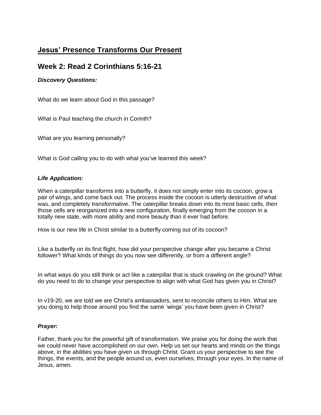## **Jesus' Presence Transforms Our Present**

## **Week 2: Read 2 Corinthians 5:16-21**

### *Discovery Questions:*

What do we learn about God in this passage?

What is Paul teaching the church in Corinth?

What are you learning personally?

What is God calling you to do with what you've learned this week?

### *Life Application:*

When a caterpillar transforms into a butterfly, it does not simply enter into its cocoon, grow a pair of wings, and come back out. The process inside the cocoon is utterly destructive of what was, and completely transformative. The caterpillar breaks down into its most basic cells, then those cells are reorganized into a new configuration, finally emerging from the cocoon in a totally new state, with more ability and more beauty than it ever had before.

How is our new life in Christ similar to a butterfly coming out of its cocoon?

Like a butterfly on its first flight, how did your perspective change after you became a Christ follower? What kinds of things do you now see differently, or from a different angle?

In what ways do you still think or act like a caterpillar that is stuck crawling on the ground? What do you need to do to change your perspective to align with what God has given you in Christ?

In v19-20, we are told we are Christ's ambassadors, sent to reconcile others to Him. What are you doing to help those around you find the same 'wings' you have been given in Christ?

### *Prayer:*

Father, thank you for the powerful gift of transformation. We praise you for doing the work that we could never have accomplished on our own. Help us set our hearts and minds on the things above, in the abilities you have given us through Christ. Grant us your perspective to see the things, the events, and the people around us, even ourselves, through your eyes. In the name of Jesus, amen.